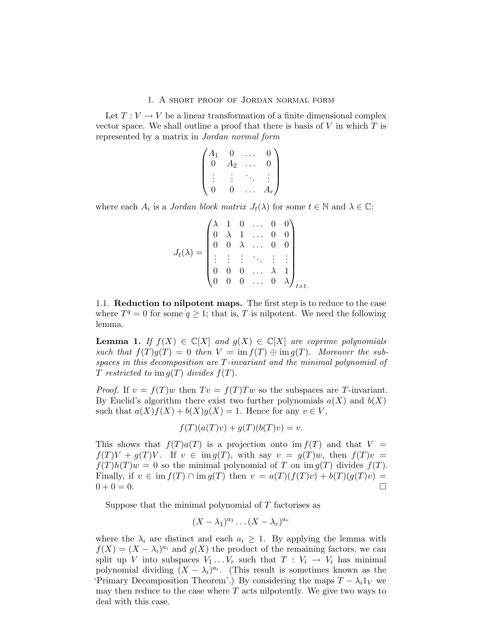## 1. A short proof of Jordan normal form

Let  $T: V \to V$  be a linear transformation of a finite dimensional complex vector space. We shall outline a proof that there is basis of  $V$  in which  $T$  is represented by a matrix in Jordan normal form

$$
\begin{pmatrix} A_1 & 0 & \dots & 0 \\ 0 & A_2 & \dots & 0 \\ \vdots & \vdots & \ddots & \vdots \\ 0 & 0 & \dots & A_r \end{pmatrix}
$$

where each  $A_i$  is a *Jordan block matrix*  $J_t(\lambda)$  for some  $t \in \mathbb{N}$  and  $\lambda \in \mathbb{C}$ :

$$
J_t(\lambda) = \begin{pmatrix} \lambda & 1 & 0 & \dots & 0 & 0 \\ 0 & \lambda & 1 & \dots & 0 & 0 \\ 0 & 0 & \lambda & \dots & 0 & 0 \\ \vdots & \vdots & \vdots & \ddots & \vdots & \vdots \\ 0 & 0 & 0 & \dots & \lambda & 1 \\ 0 & 0 & 0 & \dots & 0 & \lambda \end{pmatrix}_{t \times t.}
$$

1.1. Reduction to nilpotent maps. The first step is to reduce to the case where  $T^q = 0$  for some  $q \geq 1$ ; that is, T is nilpotent. We need the following lemma.

**Lemma 1.** If  $f(X) \in \mathbb{C}[X]$  and  $g(X) \in \mathbb{C}[X]$  are coprime polynomials such that  $f(T)g(T) = 0$  then  $V = \text{im } f(T) \oplus \text{im } g(T)$ . Moreover the subspaces in this decomposition are T-invariant and the minimal polynomial of T restricted to im  $g(T)$  divides  $f(T)$ .

*Proof.* If  $v = f(T)w$  then  $Tv = f(T)Tw$  so the subspaces are T-invariant. By Euclid's algorithm there exist two further polynomials  $a(X)$  and  $b(X)$ such that  $a(X)f(X) + b(X)g(X) = 1$ . Hence for any  $v \in V$ ,

$$
f(T)(a(T)v) + g(T)(b(T)v) = v.
$$

This shows that  $f(T)a(T)$  is a projection onto im  $f(T)$  and that  $V =$  $f(T)V + q(T)V$ . If  $v \in \text{im } q(T)$ , with say  $v = q(T)w$ , then  $f(T)v =$  $f(T)h(T)w = 0$  so the minimal polynomial of T on im  $g(T)$  divides  $f(T)$ . Finally, if  $v \in \text{im } f(T) \cap \text{im } g(T)$  then  $v = a(T)(f(T)v) + b(T)(g(T)v) =$  $0 + 0 = 0.$ 

Suppose that the minimal polynomial of T factorises as

$$
(X - \lambda_1)^{a_1} \dots (X - \lambda_r)^{a_r}
$$

where the  $\lambda_i$  are distinct and each  $a_i \geq 1$ . By applying the lemma with  $f(X) = (X - \lambda_i)^{a_i}$  and  $g(X)$  the product of the remaining factors, we can split up V into subspaces  $V_1 \ldots V_r$  such that  $T : V_i \to V_i$  has minimal polynomial dividing  $(X - \lambda_i)^{a_i}$ . (This result is sometimes known as the 'Primary Decomposition Theorem'.) By considering the maps  $T - \lambda_i 1_V$  we may then reduce to the case where  $T$  acts nilpotently. We give two ways to deal with this case.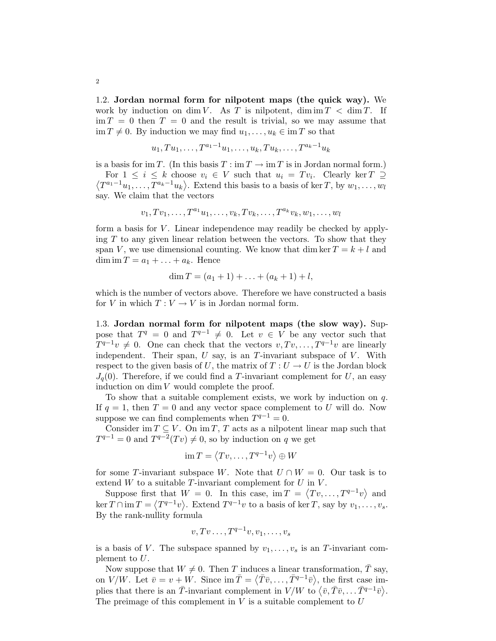1.2. Jordan normal form for nilpotent maps (the quick way). We work by induction on dim V. As T is nilpotent, dim  $T < \dim T$ . If  $\lim T = 0$  then  $T = 0$  and the result is trivial, so we may assume that  $\text{im } T \neq 0$ . By induction we may find  $u_1, \ldots, u_k \in \text{im } T$  so that

$$
u_1, Tu_1, \ldots, T^{a_1-1}u_1, \ldots, u_k, Tu_k, \ldots, T^{a_k-1}u_k
$$

is a basis for im T. (In this basis  $T : \text{im } T \to \text{im } T$  is in Jordan normal form.) For  $1 \leq i \leq k$  choose  $v_i \in V$  such that  $u_i = Tv_i$ . Clearly ker  $T \supseteq$  $\langle T^{a_1-1}u_1,\ldots,T^{a_k-1}u_k\rangle$ . Extend this basis to a basis of ker T, by  $w_1,\ldots,w_l$ say. We claim that the vectors

$$
v_1, Tv_1, \ldots, T^{a_1}u_1, \ldots, v_k, Tv_k, \ldots, T^{a_k}v_k, w_1, \ldots, w_l
$$

form a basis for  $V$ . Linear independence may readily be checked by applying  $T$  to any given linear relation between the vectors. To show that they span V, we use dimensional counting. We know that dim ker  $T = k + l$  and dim im  $T = a_1 + \ldots + a_k$ . Hence

$$
\dim T = (a_1 + 1) + \ldots + (a_k + 1) + l,
$$

which is the number of vectors above. Therefore we have constructed a basis for V in which  $T: V \to V$  is in Jordan normal form.

1.3. Jordan normal form for nilpotent maps (the slow way). Suppose that  $T^q = 0$  and  $T^{q-1} \neq 0$ . Let  $v \in V$  be any vector such that  $T^{q-1}v \neq 0$ . One can check that the vectors  $v, Tv, \ldots, T^{q-1}v$  are linearly independent. Their span,  $U$  say, is an  $T$ -invariant subspace of  $V$ . With respect to the given basis of U, the matrix of  $T: U \to U$  is the Jordan block  $J_q(0)$ . Therefore, if we could find a T-invariant complement for U, an easy induction on  $\dim V$  would complete the proof.

To show that a suitable complement exists, we work by induction on q. If  $q = 1$ , then  $T = 0$  and any vector space complement to U will do. Now suppose we can find complements when  $T^{q-1} = 0$ .

Consider im  $T \subseteq V$ . On im T, T acts as a nilpotent linear map such that  $T^{q-1} = 0$  and  $T^{q-2}(Tv) \neq 0$ , so by induction on q we get

$$
\operatorname{im} T = \langle Tv, \dots, T^{q-1}v \rangle \oplus W
$$

for some T-invariant subspace W. Note that  $U \cap W = 0$ . Our task is to extend  $W$  to a suitable T-invariant complement for  $U$  in  $V$ .

Suppose first that  $W = 0$ . In this case, im  $T = \langle Tv, \ldots, T^{q-1}v \rangle$  and  $\ker T \cap \operatorname{im} T = \langle T^{q-1}v \rangle$ . Extend  $T^{q-1}v$  to a basis of  $\ker T$ , say by  $v_1, \ldots, v_s$ . By the rank-nullity formula

$$
v, Tv \ldots, T^{q-1}v, v_1, \ldots, v_s
$$

is a basis of V. The subspace spanned by  $v_1, \ldots, v_s$  is an T-invariant complement to U.

Now suppose that  $W \neq 0$ . Then T induces a linear transformation,  $\overline{T}$  say, on  $V/W$ . Let  $\bar{v} = v + \bar{W}$ . Since  $\text{im}\,\bar{T} = \langle \bar{T}\bar{v}, \ldots, \bar{T}^{q-1}\bar{v} \rangle$ , the first case implies that there is an  $\bar{T}$ -invariant complement in  $V/W$  to  $\langle \bar{v}, \bar{T}\bar{v}, \ldots \bar{T}^{q-1}\bar{v} \rangle$ . The preimage of this complement in  $V$  is a suitable complement to  $U$